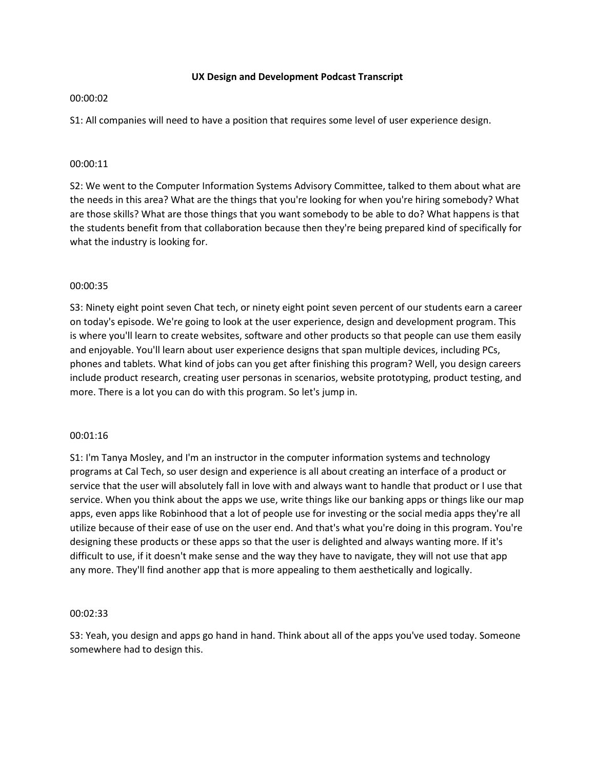### **UX Design and Development Podcast Transcript**

### 00:00:02

S1: All companies will need to have a position that requires some level of user experience design.

### 00:00:11

S2: We went to the Computer Information Systems Advisory Committee, talked to them about what are the needs in this area? What are the things that you're looking for when you're hiring somebody? What are those skills? What are those things that you want somebody to be able to do? What happens is that the students benefit from that collaboration because then they're being prepared kind of specifically for what the industry is looking for.

## 00:00:35

S3: Ninety eight point seven Chat tech, or ninety eight point seven percent of our students earn a career on today's episode. We're going to look at the user experience, design and development program. This is where you'll learn to create websites, software and other products so that people can use them easily and enjoyable. You'll learn about user experience designs that span multiple devices, including PCs, phones and tablets. What kind of jobs can you get after finishing this program? Well, you design careers include product research, creating user personas in scenarios, website prototyping, product testing, and more. There is a lot you can do with this program. So let's jump in.

### 00:01:16

S1: I'm Tanya Mosley, and I'm an instructor in the computer information systems and technology programs at Cal Tech, so user design and experience is all about creating an interface of a product or service that the user will absolutely fall in love with and always want to handle that product or I use that service. When you think about the apps we use, write things like our banking apps or things like our map apps, even apps like Robinhood that a lot of people use for investing or the social media apps they're all utilize because of their ease of use on the user end. And that's what you're doing in this program. You're designing these products or these apps so that the user is delighted and always wanting more. If it's difficult to use, if it doesn't make sense and the way they have to navigate, they will not use that app any more. They'll find another app that is more appealing to them aesthetically and logically.

### 00:02:33

S3: Yeah, you design and apps go hand in hand. Think about all of the apps you've used today. Someone somewhere had to design this.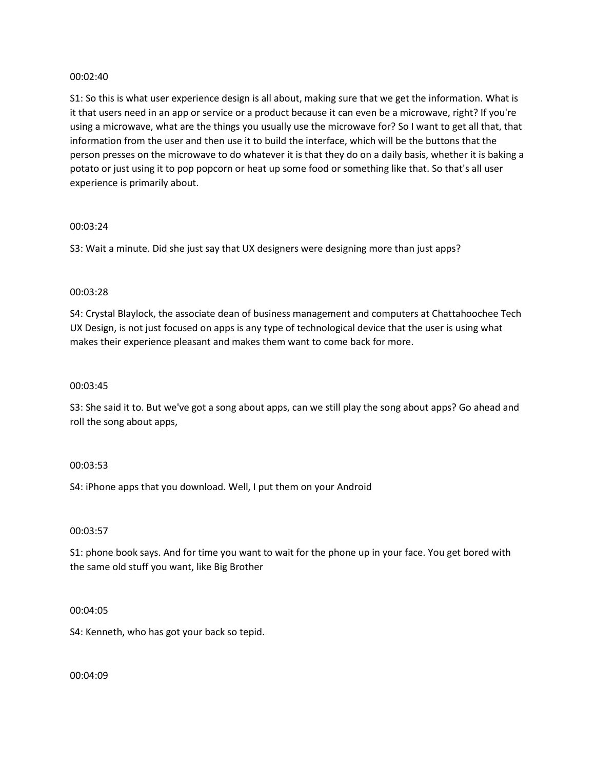### 00:02:40

S1: So this is what user experience design is all about, making sure that we get the information. What is it that users need in an app or service or a product because it can even be a microwave, right? If you're using a microwave, what are the things you usually use the microwave for? So I want to get all that, that information from the user and then use it to build the interface, which will be the buttons that the person presses on the microwave to do whatever it is that they do on a daily basis, whether it is baking a potato or just using it to pop popcorn or heat up some food or something like that. So that's all user experience is primarily about.

### 00:03:24

S3: Wait a minute. Did she just say that UX designers were designing more than just apps?

### 00:03:28

S4: Crystal Blaylock, the associate dean of business management and computers at Chattahoochee Tech UX Design, is not just focused on apps is any type of technological device that the user is using what makes their experience pleasant and makes them want to come back for more.

### 00:03:45

S3: She said it to. But we've got a song about apps, can we still play the song about apps? Go ahead and roll the song about apps,

### 00:03:53

S4: iPhone apps that you download. Well, I put them on your Android

### 00:03:57

S1: phone book says. And for time you want to wait for the phone up in your face. You get bored with the same old stuff you want, like Big Brother

### 00:04:05

S4: Kenneth, who has got your back so tepid.

00:04:09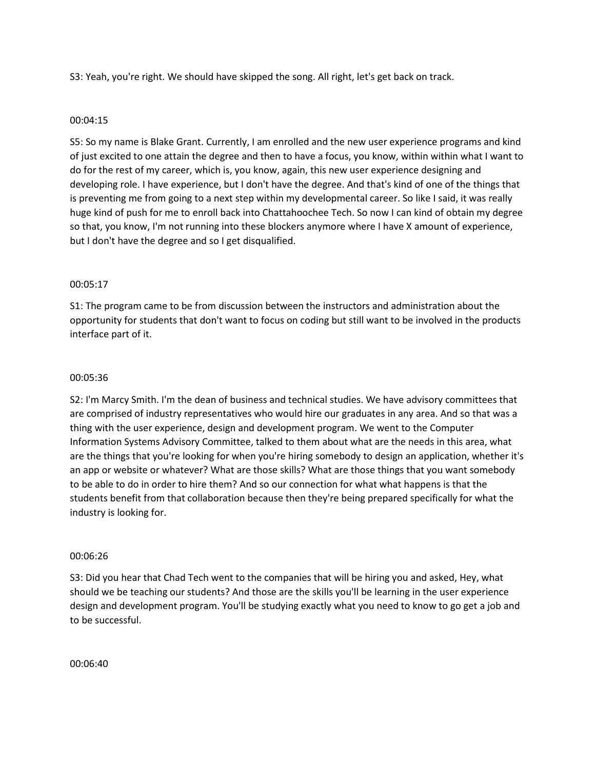S3: Yeah, you're right. We should have skipped the song. All right, let's get back on track.

## 00:04:15

S5: So my name is Blake Grant. Currently, I am enrolled and the new user experience programs and kind of just excited to one attain the degree and then to have a focus, you know, within within what I want to do for the rest of my career, which is, you know, again, this new user experience designing and developing role. I have experience, but I don't have the degree. And that's kind of one of the things that is preventing me from going to a next step within my developmental career. So like I said, it was really huge kind of push for me to enroll back into Chattahoochee Tech. So now I can kind of obtain my degree so that, you know, I'm not running into these blockers anymore where I have X amount of experience, but I don't have the degree and so I get disqualified.

## 00:05:17

S1: The program came to be from discussion between the instructors and administration about the opportunity for students that don't want to focus on coding but still want to be involved in the products interface part of it.

### 00:05:36

S2: I'm Marcy Smith. I'm the dean of business and technical studies. We have advisory committees that are comprised of industry representatives who would hire our graduates in any area. And so that was a thing with the user experience, design and development program. We went to the Computer Information Systems Advisory Committee, talked to them about what are the needs in this area, what are the things that you're looking for when you're hiring somebody to design an application, whether it's an app or website or whatever? What are those skills? What are those things that you want somebody to be able to do in order to hire them? And so our connection for what what happens is that the students benefit from that collaboration because then they're being prepared specifically for what the industry is looking for.

### 00:06:26

S3: Did you hear that Chad Tech went to the companies that will be hiring you and asked, Hey, what should we be teaching our students? And those are the skills you'll be learning in the user experience design and development program. You'll be studying exactly what you need to know to go get a job and to be successful.

00:06:40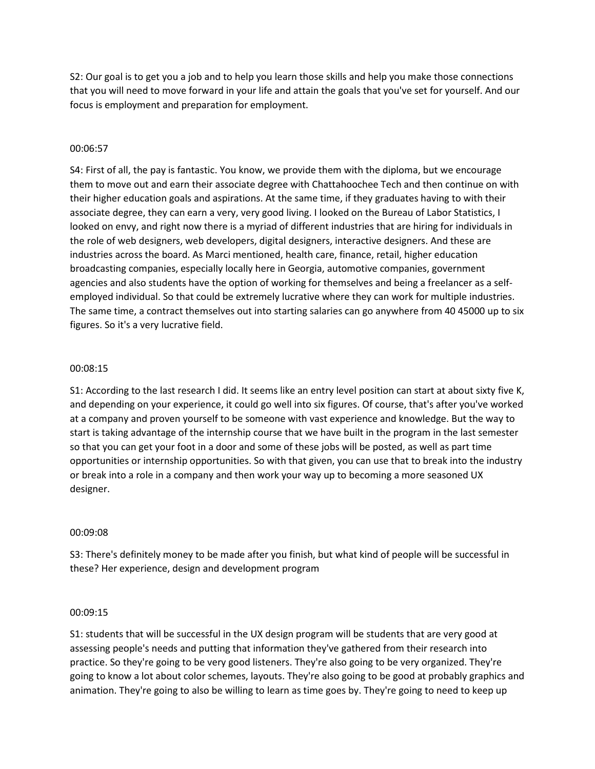S2: Our goal is to get you a job and to help you learn those skills and help you make those connections that you will need to move forward in your life and attain the goals that you've set for yourself. And our focus is employment and preparation for employment.

### 00:06:57

S4: First of all, the pay is fantastic. You know, we provide them with the diploma, but we encourage them to move out and earn their associate degree with Chattahoochee Tech and then continue on with their higher education goals and aspirations. At the same time, if they graduates having to with their associate degree, they can earn a very, very good living. I looked on the Bureau of Labor Statistics, I looked on envy, and right now there is a myriad of different industries that are hiring for individuals in the role of web designers, web developers, digital designers, interactive designers. And these are industries across the board. As Marci mentioned, health care, finance, retail, higher education broadcasting companies, especially locally here in Georgia, automotive companies, government agencies and also students have the option of working for themselves and being a freelancer as a selfemployed individual. So that could be extremely lucrative where they can work for multiple industries. The same time, a contract themselves out into starting salaries can go anywhere from 40 45000 up to six figures. So it's a very lucrative field.

### 00:08:15

S1: According to the last research I did. It seems like an entry level position can start at about sixty five K, and depending on your experience, it could go well into six figures. Of course, that's after you've worked at a company and proven yourself to be someone with vast experience and knowledge. But the way to start is taking advantage of the internship course that we have built in the program in the last semester so that you can get your foot in a door and some of these jobs will be posted, as well as part time opportunities or internship opportunities. So with that given, you can use that to break into the industry or break into a role in a company and then work your way up to becoming a more seasoned UX designer.

### 00:09:08

S3: There's definitely money to be made after you finish, but what kind of people will be successful in these? Her experience, design and development program

### 00:09:15

S1: students that will be successful in the UX design program will be students that are very good at assessing people's needs and putting that information they've gathered from their research into practice. So they're going to be very good listeners. They're also going to be very organized. They're going to know a lot about color schemes, layouts. They're also going to be good at probably graphics and animation. They're going to also be willing to learn as time goes by. They're going to need to keep up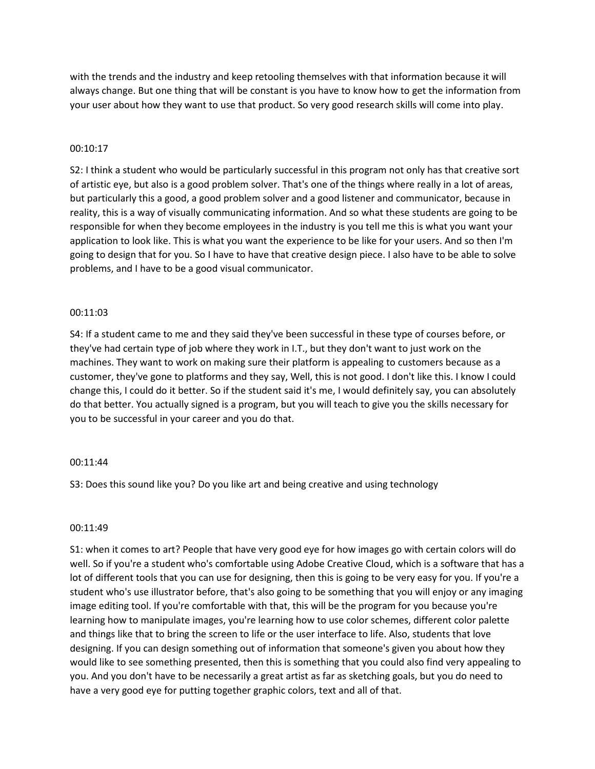with the trends and the industry and keep retooling themselves with that information because it will always change. But one thing that will be constant is you have to know how to get the information from your user about how they want to use that product. So very good research skills will come into play.

### 00:10:17

S2: I think a student who would be particularly successful in this program not only has that creative sort of artistic eye, but also is a good problem solver. That's one of the things where really in a lot of areas, but particularly this a good, a good problem solver and a good listener and communicator, because in reality, this is a way of visually communicating information. And so what these students are going to be responsible for when they become employees in the industry is you tell me this is what you want your application to look like. This is what you want the experience to be like for your users. And so then I'm going to design that for you. So I have to have that creative design piece. I also have to be able to solve problems, and I have to be a good visual communicator.

## 00:11:03

S4: If a student came to me and they said they've been successful in these type of courses before, or they've had certain type of job where they work in I.T., but they don't want to just work on the machines. They want to work on making sure their platform is appealing to customers because as a customer, they've gone to platforms and they say, Well, this is not good. I don't like this. I know I could change this, I could do it better. So if the student said it's me, I would definitely say, you can absolutely do that better. You actually signed is a program, but you will teach to give you the skills necessary for you to be successful in your career and you do that.

## 00:11:44

S3: Does this sound like you? Do you like art and being creative and using technology

## 00:11:49

S1: when it comes to art? People that have very good eye for how images go with certain colors will do well. So if you're a student who's comfortable using Adobe Creative Cloud, which is a software that has a lot of different tools that you can use for designing, then this is going to be very easy for you. If you're a student who's use illustrator before, that's also going to be something that you will enjoy or any imaging image editing tool. If you're comfortable with that, this will be the program for you because you're learning how to manipulate images, you're learning how to use color schemes, different color palette and things like that to bring the screen to life or the user interface to life. Also, students that love designing. If you can design something out of information that someone's given you about how they would like to see something presented, then this is something that you could also find very appealing to you. And you don't have to be necessarily a great artist as far as sketching goals, but you do need to have a very good eye for putting together graphic colors, text and all of that.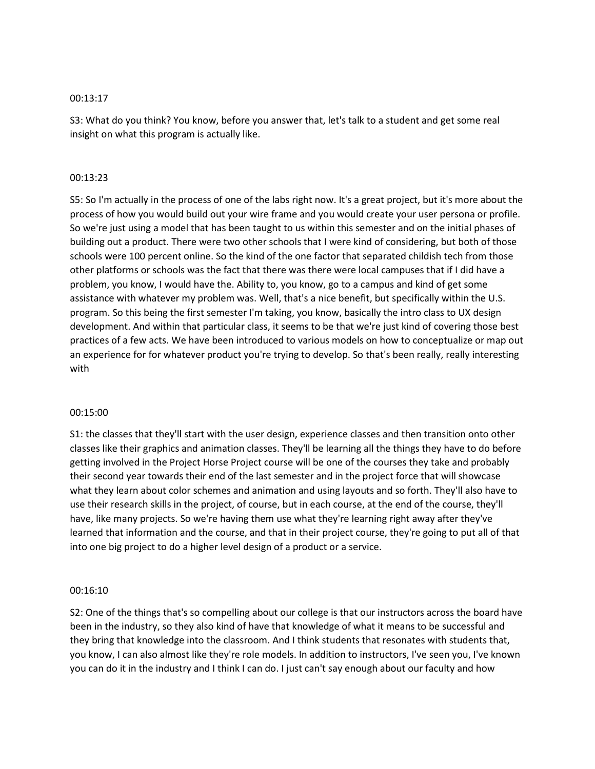### 00:13:17

S3: What do you think? You know, before you answer that, let's talk to a student and get some real insight on what this program is actually like.

### 00:13:23

S5: So I'm actually in the process of one of the labs right now. It's a great project, but it's more about the process of how you would build out your wire frame and you would create your user persona or profile. So we're just using a model that has been taught to us within this semester and on the initial phases of building out a product. There were two other schools that I were kind of considering, but both of those schools were 100 percent online. So the kind of the one factor that separated childish tech from those other platforms or schools was the fact that there was there were local campuses that if I did have a problem, you know, I would have the. Ability to, you know, go to a campus and kind of get some assistance with whatever my problem was. Well, that's a nice benefit, but specifically within the U.S. program. So this being the first semester I'm taking, you know, basically the intro class to UX design development. And within that particular class, it seems to be that we're just kind of covering those best practices of a few acts. We have been introduced to various models on how to conceptualize or map out an experience for for whatever product you're trying to develop. So that's been really, really interesting with

### 00:15:00

S1: the classes that they'll start with the user design, experience classes and then transition onto other classes like their graphics and animation classes. They'll be learning all the things they have to do before getting involved in the Project Horse Project course will be one of the courses they take and probably their second year towards their end of the last semester and in the project force that will showcase what they learn about color schemes and animation and using layouts and so forth. They'll also have to use their research skills in the project, of course, but in each course, at the end of the course, they'll have, like many projects. So we're having them use what they're learning right away after they've learned that information and the course, and that in their project course, they're going to put all of that into one big project to do a higher level design of a product or a service.

### 00:16:10

S2: One of the things that's so compelling about our college is that our instructors across the board have been in the industry, so they also kind of have that knowledge of what it means to be successful and they bring that knowledge into the classroom. And I think students that resonates with students that, you know, I can also almost like they're role models. In addition to instructors, I've seen you, I've known you can do it in the industry and I think I can do. I just can't say enough about our faculty and how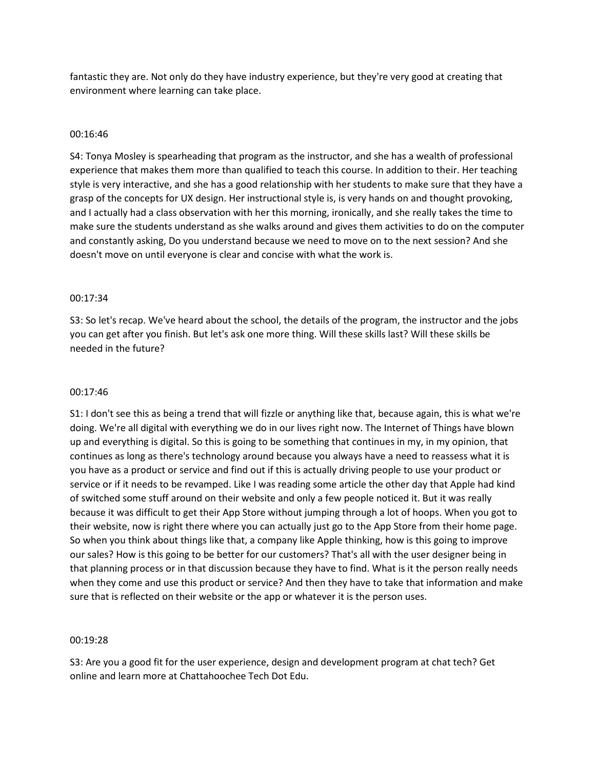fantastic they are. Not only do they have industry experience, but they're very good at creating that environment where learning can take place.

### 00:16:46

S4: Tonya Mosley is spearheading that program as the instructor, and she has a wealth of professional experience that makes them more than qualified to teach this course. In addition to their. Her teaching style is very interactive, and she has a good relationship with her students to make sure that they have a grasp of the concepts for UX design. Her instructional style is, is very hands on and thought provoking, and I actually had a class observation with her this morning, ironically, and she really takes the time to make sure the students understand as she walks around and gives them activities to do on the computer and constantly asking, Do you understand because we need to move on to the next session? And she doesn't move on until everyone is clear and concise with what the work is.

### 00:17:34

S3: So let's recap. We've heard about the school, the details of the program, the instructor and the jobs you can get after you finish. But let's ask one more thing. Will these skills last? Will these skills be needed in the future?

### 00:17:46

S1: I don't see this as being a trend that will fizzle or anything like that, because again, this is what we're doing. We're all digital with everything we do in our lives right now. The Internet of Things have blown up and everything is digital. So this is going to be something that continues in my, in my opinion, that continues as long as there's technology around because you always have a need to reassess what it is you have as a product or service and find out if this is actually driving people to use your product or service or if it needs to be revamped. Like I was reading some article the other day that Apple had kind of switched some stuff around on their website and only a few people noticed it. But it was really because it was difficult to get their App Store without jumping through a lot of hoops. When you got to their website, now is right there where you can actually just go to the App Store from their home page. So when you think about things like that, a company like Apple thinking, how is this going to improve our sales? How is this going to be better for our customers? That's all with the user designer being in that planning process or in that discussion because they have to find. What is it the person really needs when they come and use this product or service? And then they have to take that information and make sure that is reflected on their website or the app or whatever it is the person uses.

### 00:19:28

S3: Are you a good fit for the user experience, design and development program at chat tech? Get online and learn more at Chattahoochee Tech Dot Edu.